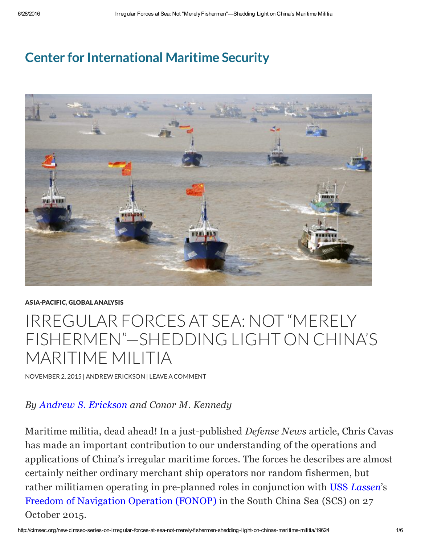## Center for [International](http://cimsec.org/) Maritime Security



## [ASIA-PACIFIC,](http://cimsec.org/global-analysis/asia-pacific) GLOBAL [ANALYSIS](http://cimsec.org/global-analysis)

## IRREGULAR FORCES AT SEA: NOT "MERELY FISHERMEN"—SHEDDING LIGHT ON CHINA'S MARITIME MILITIA

[NOVEMBER](http://cimsec.org/new-cimsec-series-on-irregular-forces-at-sea-not-merely-fishermen-shedding-light-on-chinas-maritime-militia/19624) 2, 2015 | [ANDREWERICKSON](http://cimsec.org/author/andrew-erickson) | LEAVEACOMMENT

## *By Andrew S. [Erickson](http://www.andrewerickson.com/) and Conor M. Kennedy*

Maritime militia, dead ahead! In a just-published *Defense News* article, Chris Cavas has made an important contribution to our understanding of the operations and applications of China's irregular maritime forces. The forces he describes are almost certainly neither ordinary merchant ship operators nor random fishermen, but rather militiamen operating in pre-planned roles in conjunction with USS *[Lassen](http://www.chinafile.com/conversation/making-waves-south-china-sea)*'s Freedom of [Navigation](http://thediplomat.com/2015/10/why-us-fon-operations-in-the-south-china-sea-make-sense/) Operation (FONOP) in the South China Sea (SCS) on 27 October 2015.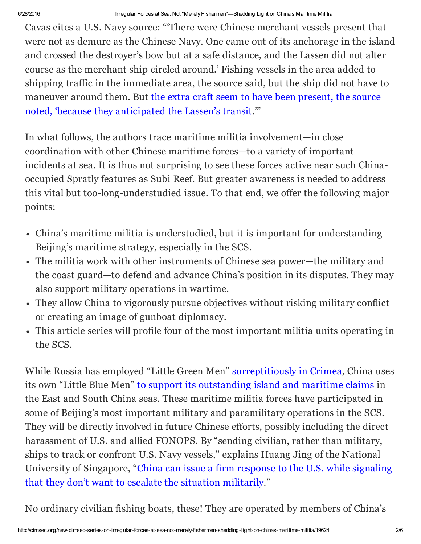Cavas cites a U.S. Navy source: "'There were Chinese merchant vessels present that were not as demure as the Chinese Navy. One came out of its anchorage in the island and crossed the destroyer's bow but at a safe distance, and the Lassen did not alter course as the merchant ship circled around.' Fishing vessels in the area added to shipping traffic in the immediate area, the source said, but the ship did not have to maneuver around them. But the extra craft seem to have been present, the source noted, 'because they [anticipated](http://www.defensenews.com/story/defense/2015/10/31/navy-china-richardson-wu-destroyer-lassen-south-china-sea-innocent-passage/74881704/) the Lassen's transit.'"

In what follows, the authors trace maritime militia involvement—in close coordination with other Chinese maritime forces—to a variety of important incidents at sea. It is thus not surprising to see these forces active near such Chinaoccupied Spratly features as Subi Reef. But greater awareness is needed to address this vital but too-long-understudied issue. To that end, we offer the following major points:

- China's maritime militia is understudied, but it is important for understanding Beijing's maritime strategy, especially in the SCS.
- The militia work with other instruments of Chinese sea power—the military and the coast guard—to defend and advance China's position in its disputes. They may also support military operations in wartime.
- They allow China to vigorously pursue objectives without risking military conflict or creating an image of gunboat diplomacy.
- This article series will profile four of the most important militia units operating in the SCS.

While Russia has employed "Little Green Men" [surreptitiously](https://en.wikipedia.org/wiki/Little_green_men_(2014_Crimean_crisis)) in Crimea, China uses its own "Little Blue Men" to support its [outstanding](http://nationalinterest.org/blog/the-buzz/beware-chinas-little-blue-men-the-south-china-sea-13846) island and maritime claims in the East and South China seas. These maritime militia forces have participated in some of Beijing's most important military and paramilitary operations in the SCS. They will be directly involved in future Chinese efforts, possibly including the direct harassment of U.S. and allied FONOPS. By "sending civilian, rather than military, ships to track or confront U.S. Navy vessels," explains Huang Jing of the National University of Singapore, "China can issue a firm response to the U.S. while signaling that they don't want to escalate the situation [militarily."](http://www.wsj.com/articles/china-says-it-warned-u-s-warship-in-south-china-sea-1445928223)

No ordinary civilian fishing boats, these! They are operated by members of China's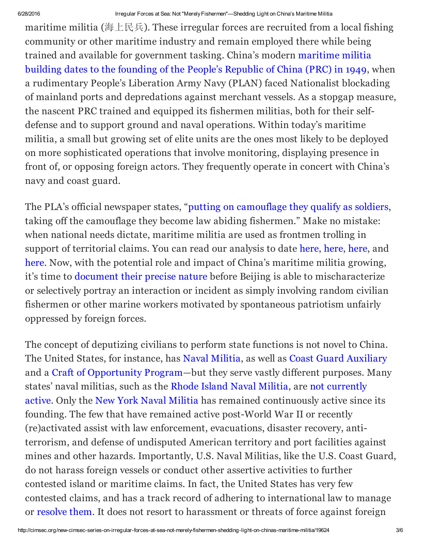maritime militia (海上民兵). These irregular forces are recruited from a local fishing community or other maritime industry and remain employed there while being trained and available for [government](http://www.nationalinterest.org/feature/tanmen-militia-china%E2%80%99s-maritime-rights-protection-vanguard-12816) tasking. China's modern maritime militia building dates to the founding of the People's Republic of China (PRC) in 1949, when a rudimentary People's Liberation Army Navy (PLAN) faced Nationalist blockading of mainland ports and depredations against merchant vessels. As a stopgap measure, the nascent PRC trained and equipped its fishermen militias, both for their selfdefense and to support ground and naval operations. Within today's maritime militia, a small but growing set of elite units are the ones most likely to be deployed on more sophisticated operations that involve monitoring, displaying presence in front of, or opposing foreign actors. They frequently operate in concert with China's navy and coast guard.

The PLA's official newspaper states, "putting on [camouflage](http://www.81.cn/lj/2014-01/06/content_5721123_2.htm) they qualify as soldiers, taking off the camouflage they become law abiding fishermen." Make no mistake: when national needs dictate, maritime militia are used as frontmen trolling in support of territorial claims. You can read our analysis to date [here,](http://blogs.wsj.com/chinarealtime/2015/03/31/meet-the-chinese-maritime-militia-waging-a-peoples-war-at-sea/) [here](https://www.foreignaffairs.com/articles/east-asia/2015-04-09/china-s-island-builders), [here](http://www.nationalinterest.org/feature/tanmen-militia-china%E2%80%99s-maritime-rights-protection-vanguard-12816), and [here](http://amti.csis.org/directing-chinas-little-blue-men-uncovering-the-maritime-militia-command-structure/). Now, with the potential role and impact of China's maritime militia growing, it's time to [document](http://blogs.wsj.com/chinarealtime/2015/08/24/new-asia-pacific-maritime-security-strategy-necessary-but-insufficient/?mod=WSJBlog) their precise nature before Beijing is able to mischaracterize or selectively portray an interaction or incident as simply involving random civilian fishermen or other marine workers motivated by spontaneous patriotism unfairly oppressed by foreign forces.

The concept of deputizing civilians to perform state functions is not novel to China. The United States, for instance, has Naval [Militia](https://en.wikipedia.org/wiki/Naval_militia), as well as Coast Guard [Auxiliary](http://www.cgaux.org/) and a Craft of [Opportunity](http://www.princeton.edu/~abraitis/glosdocs/usnmine.htm) Program—but they serve vastly different purposes. Many states' naval militias, such as the Rhode Island Naval [Militia,](http://webserver.rilin.state.ri.us/Statutes/TITLE30/30-1/30-1-4.HTM) are not currently active. Only the New York Naval [Militia](https://en.wikipedia.org/wiki/New_York_Naval_Militia) has remained [continuously](https://en.wikipedia.org/wiki/Rhode_Island_Naval_Militia) active since its founding. The few that have remained active post-World War II or recently (re)activated assist with law enforcement, evacuations, disaster recovery, antiterrorism, and defense of undisputed American territory and port facilities against mines and other hazards. Importantly, U.S. Naval Militias, like the U.S. Coast Guard, do not harass foreign vessels or conduct other assertive activities to further contested island or maritime claims. In fact, the United States has very few contested claims, and has a track record of adhering to international law to manage or [resolve](https://mainelaw.maine.edu/wp-content/uploads/2014/01/rogoff-mlr-38.pdf) them. It does not resort to harassment or threats of force against foreign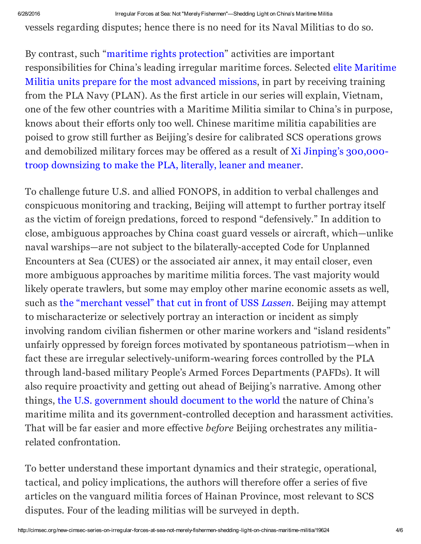6/28/2016 Irregular Forces at Sea: Not "MerelyFishermen"—Shedding Light on China's Maritime Militia

vessels regarding disputes; hence there is no need for its Naval Militias to do so.

By contrast, such "maritime rights [protection](http://www.jamestown.org/single/?tx_ttnews%5Btt_news%5D=42809&no_cache=1)" activities are important [responsibilities](http://amti.csis.org/directing-chinas-little-blue-men-uncovering-the-maritime-militia-command-structure/) for China's leading irregular maritime forces. Selected elite Maritime Militia units prepare for the most advanced missions, in part by receiving training from the PLA Navy (PLAN). As the first article in our series will explain, Vietnam, one of the few other countries with a Maritime Militia similar to China's in purpose, knows about their efforts only too well. Chinese maritime militia capabilities are poised to grow still further as Beijing's desire for calibrated SCS operations grows and [demobilized](http://www.theasanforum.org/dreaming-big-acting-big-xis-impact-on-chinas-military-development/) military forces may be offered as a result of Xi Jinping's 300,000 troop downsizing to make the PLA, literally, leaner and meaner.

To challenge future U.S. and allied FONOPS, in addition to verbal challenges and conspicuous monitoring and tracking, Beijing will attempt to further portray itself as the victim of foreign predations, forced to respond "defensively." In addition to close, ambiguous approaches by China coast guard vessels or aircraft, which—unlike naval warships—are not subject to the bilaterally-accepted Code for Unplanned Encounters at Sea (CUES) or the associated air annex, it may entail closer, even more ambiguous approaches by maritime militia forces. The vast majority would likely operate trawlers, but some may employ other marine economic assets as well, such as the ["merchant](http://www.defensenews.com/story/defense/2015/10/31/navy-china-richardson-wu-destroyer-lassen-south-china-sea-innocent-passage/74881704/) vessel" that cut in front of USS *Lassen*. Beijing may attempt to mischaracterize or selectively portray an interaction or incident as simply involving random civilian fishermen or other marine workers and "island residents" unfairly oppressed by foreign forces motivated by spontaneous patriotism—when in fact these are irregular selectively-uniform-wearing forces controlled by the PLA through land-based military People's Armed Forces Departments (PAFDs). It will also require proactivity and getting out ahead of Beijing's narrative. Among other things, the U.S. [government](http://blogs.wsj.com/chinarealtime/2015/08/24/new-asia-pacific-maritime-security-strategy-necessary-but-insufficient/?mod=WSJBlog) should document to the world the nature of China's maritime milita and its government-controlled deception and harassment activities. That will be far easier and more effective *before* Beijing orchestrates any militiarelated confrontation.

To better understand these important dynamics and their strategic, operational, tactical, and policy implications, the authors will therefore offer a series of five articles on the vanguard militia forces of Hainan Province, most relevant to SCS disputes. Four of the leading militias will be surveyed in depth.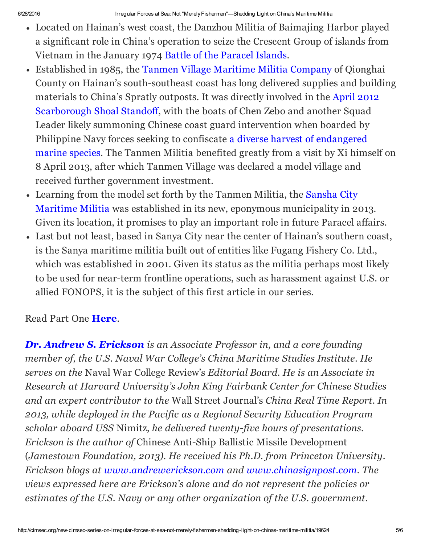- Located on Hainan's west coast, the Danzhou Militia of Baimajing Harbor played a significant role in China's operation to seize the Crescent Group of islands from Vietnam in the January 1974 Battle of the [Paracel](https://en.wikipedia.org/wiki/Battle_of_the_Paracel_Islands) Islands.
- Established in 1985, the Tanmen Village [Maritime](http://www.nationalinterest.org/feature/tanmen-militia-china%E2%80%99s-maritime-rights-protection-vanguard-12816?page=show) Militia Company of Qionghai County on Hainan's south-southeast coast has long delivered supplies and building materials to China's Spratly outposts. It was directly involved in the April 2012 [Scarborough](https://en.wikipedia.org/wiki/Scarborough_Shoal_standoff) Shoal Standoff, with the boats of Chen Zebo and another Squad Leader likely summoning Chinese coast guard intervention when boarded by Philippine Navy forces seeking to confiscate a diverse harvest of [endangered](http://globalnation.inquirer.net/36003/scarborough-shoal-standoff-a-historicaltimeline) marine species. The Tanmen Militia benefited greatly from a visit by Xi himself on 8 April 2013, after which Tanmen Village was declared a model village and received further government investment.
- Learning from the model set forth by the Tanmen Militia, the Sansha City Maritime Militia was established in its new, eponymous [municipality](https://www.foreignaffairs.com/articles/east-asia/2015-04-09/china-s-island-builders) in 2013. Given its location, it promises to play an important role in future Paracel affairs.
- Last but not least, based in Sanya City near the center of Hainan's southern coast, is the Sanya maritime militia built out of entities like Fugang Fishery Co. Ltd., which was established in 2001. Given its status as the militia perhaps most likely to be used for near-term frontline operations, such as harassment against U.S. or allied FONOPS, it is the subject of this first article in our series.

Read Part One [Here](http://cimsec.org/chinas-daring-vanguard-introducing-sanya-citys-maritime-militia/19753).

*Dr. Andrew S. [Erickson](http://www.andrewerickson.com/) is an Associate Professor in, and a core founding member of, the U.S. Naval War College's China Maritime Studies Institute. He serves on the* Naval War College Review's *Editorial Board. He is an Associate in Research at Harvard University's John King Fairbank Center for Chinese Studies and an expert contributor to the* Wall Street Journal's *China Real Time Report. In 2013, while deployed in the Pacific as a Regional Security Education Program scholar aboard USS* Nimitz, *he delivered twenty-five hours of presentations. Erickson is the author of* Chinese Anti-Ship Ballistic Missile Development (*Jamestown Foundation, 2013). He received his Ph.D. from Princeton University. Erickson blogs at [www.andrewerickson.com](http://www.andrewerickson.com/) and [www.chinasignpost.com](http://www.chinasignpost.com/). The views expressed here are Erickson's alone and do not represent the policies or estimates of the U.S. Navy or any other organization of the U.S. government.*